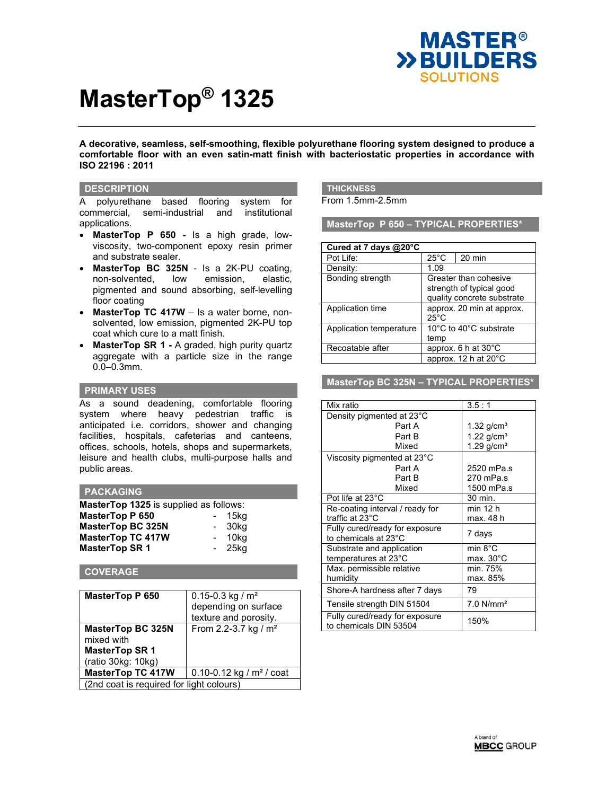

# **MasterTop® 1325**

**A decorative, seamless, self-smoothing, flexible polyurethane flooring system designed to produce a comfortable floor with an even satin-matt finish with bacteriostatic properties in accordance with ISO 22196 : 2011**

#### **DESCRIPTION**

A polyurethane based flooring system for commercial, semi-industrial and institutional applications.

- **MasterTop P 650** Is a high grade, lowviscosity, two-component epoxy resin primer and substrate sealer.
- **MasterTop BC 325N** Is a 2K-PU coating, non-solvented, low emission, elastic, pigmented and sound absorbing, self-levelling floor coating
- **MasterTop TC 417W** Is a water borne, nonsolvented, low emission, pigmented 2K-PU top coat which cure to a matt finish.
- **MasterTop SR 1 -** A graded, high purity quartz aggregate with a particle size in the range 0.0–0.3mm.

#### **PRIMARY USES**

As a sound deadening, comfortable flooring system where heavy pedestrian traffic is anticipated i.e. corridors, shower and changing facilities, hospitals, cafeterias and canteens, offices, schools, hotels, shops and supermarkets, leisure and health clubs, multi-purpose halls and public areas.

#### **PACKAGING**

| MasterTop 1325 is supplied as follows: |                          |      |
|----------------------------------------|--------------------------|------|
| <b>MasterTop P 650</b>                 |                          | 15ka |
| <b>MasterTop BC 325N</b>               | $\overline{\phantom{a}}$ | 30kg |
| <b>MasterTop TC 417W</b>               |                          | 10kg |
| <b>MasterTop SR 1</b>                  |                          | 25kg |

#### **COVERAGE**

| <b>MasterTop P 650</b>                   | $0.15 - 0.3$ kg / m <sup>2</sup><br>depending on surface<br>texture and porosity. |  |
|------------------------------------------|-----------------------------------------------------------------------------------|--|
| <b>MasterTop BC 325N</b><br>mixed with   | From 2.2-3.7 kg / $m2$                                                            |  |
| <b>MasterTop SR1</b>                     |                                                                                   |  |
| (ratio 30kg: 10kg)                       |                                                                                   |  |
| <b>MasterTop TC 417W</b>                 | 0.10-0.12 kg / $m2$ / coat                                                        |  |
| (2nd coat is required for light colours) |                                                                                   |  |

# **THICKNESS**

From 1.5mm-2.5mm

**MasterTop P 650 – TYPICAL PROPERTIES\***

| Cured at 7 days $@20^{\circ}$ C |                                                                                 |                      |
|---------------------------------|---------------------------------------------------------------------------------|----------------------|
| Pot Life:                       | $25^{\circ}$ C                                                                  | 20 min               |
| Density:                        | 1.09                                                                            |                      |
| Bonding strength                | Greater than cohesive<br>strength of typical good<br>quality concrete substrate |                      |
| Application time                | approx. 20 min at approx.<br>$25^{\circ}$ C                                     |                      |
| Application temperature         | 10°C to 40°C substrate<br>temp                                                  |                      |
| Recoatable after                |                                                                                 | approx. 6 h at 30°C  |
|                                 |                                                                                 | approx. 12 h at 20°C |

#### **MasterTop BC 325N – TYPICAL PROPERTIES\***

| Mix ratio                                                | 3.5:1                    |
|----------------------------------------------------------|--------------------------|
| Density pigmented at 23°C                                |                          |
| Part A                                                   | 1.32 $q/cm3$             |
| Part B                                                   | 1.22 $q/cm^{3}$          |
| Mixed                                                    | $1.29$ g/cm <sup>3</sup> |
| Viscosity pigmented at 23°C                              |                          |
| Part A                                                   | 2520 mPa.s               |
| Part B                                                   | 270 mPa.s                |
| Mixed                                                    | 1500 mPa.s               |
| Pot life at 23°C                                         | 30 min.                  |
| Re-coating interval / ready for                          | min 12 h                 |
| traffic at 23°C                                          | max. 48 h                |
| Fully cured/ready for exposure                           | 7 days                   |
| to chemicals at 23°C                                     |                          |
| Substrate and application                                | min 8°C                  |
| temperatures at 23°C                                     | max. 30°C                |
| Max. permissible relative                                | min. 75%                 |
| humidity                                                 | max. 85%                 |
| Shore-A hardness after 7 days                            | 79                       |
| Tensile strength DIN 51504                               | $7.0$ N/mm <sup>2</sup>  |
| Fully cured/ready for exposure<br>to chemicals DIN 53504 | 150%                     |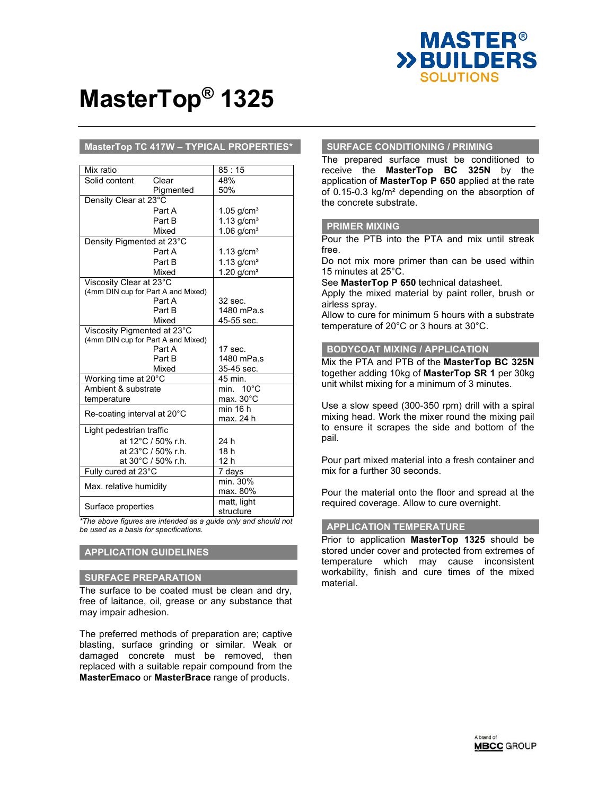

# **MasterTop® 1325**

### **MasterTop TC 417W – TYPICAL PROPERTIES\***

| Mix ratio                          |                    | 85:15                    |
|------------------------------------|--------------------|--------------------------|
| Solid content                      | Clear              | 48%                      |
|                                    | Pigmented          | 50%                      |
| Density Clear at 23°C              |                    |                          |
|                                    | Part A             | $1.05$ g/cm <sup>3</sup> |
|                                    | Part B             | $1.13$ g/cm <sup>3</sup> |
|                                    | Mixed              | $1.06$ g/cm <sup>3</sup> |
| Density Pigmented at 23°C          |                    |                          |
|                                    | Part A             | 1.13 $q/cm3$             |
|                                    | Part B             | 1.13 $q/cm3$             |
|                                    | Mixed              | $1.20$ g/cm <sup>3</sup> |
| Viscosity Clear at 23°C            |                    |                          |
| (4mm DIN cup for Part A and Mixed) |                    |                          |
|                                    | Part A             | 32 sec.                  |
|                                    | Part B             | 1480 mPa.s               |
|                                    | Mixed              | 45-55 sec.               |
| Viscosity Pigmented at 23°C        |                    |                          |
| (4mm DIN cup for Part A and Mixed) |                    |                          |
|                                    | Part A             | $17$ sec.                |
|                                    | Part B             | 1480 mPa.s               |
|                                    | Mixed              | 35-45 sec.               |
| Working time at 20°C               |                    | 45 min.                  |
| Ambient & substrate                |                    | min. $10^{\circ}$ C      |
| temperature                        |                    | max. 30 $^{\circ}$ C     |
| Re-coating interval at 20°C        |                    | min 16 h                 |
|                                    |                    | max. 24 h                |
| Light pedestrian traffic           |                    |                          |
|                                    | at 12°C / 50% r.h. | 24 h                     |
|                                    | at 23°C / 50% r.h. | 18 <sub>h</sub>          |
|                                    | at 30°C / 50% r.h. | 12 h                     |
| Fully cured at 23°C                |                    | 7 days                   |
| Max. relative humidity             |                    | min. 30%                 |
|                                    |                    | max. 80%                 |
| Surface properties                 |                    | matt, light              |
|                                    |                    | structure                |

*\*The above figures are intended as a guide only and should not be used as a basis for specifications.* 

## **APPLICATION GUIDELINES**

#### **SURFACE PREPARATION**

The surface to be coated must be clean and dry, free of laitance, oil, grease or any substance that may impair adhesion.

The preferred methods of preparation are; captive blasting, surface grinding or similar. Weak or damaged concrete must be removed, then replaced with a suitable repair compound from the **MasterEmaco** or **MasterBrace** range of products.

#### **SURFACE CONDITIONING / PRIMING**

The prepared surface must be conditioned to receive the **MasterTop BC 325N** by the application of **MasterTop P 650** applied at the rate of 0.15-0.3 kg/m² depending on the absorption of the concrete substrate.

### **PRIMER MIXING**

Pour the PTB into the PTA and mix until streak free.

Do not mix more primer than can be used within 15 minutes at 25°C.

See **MasterTop P 650** technical datasheet.

Apply the mixed material by paint roller, brush or airless spray.

Allow to cure for minimum 5 hours with a substrate temperature of 20°C or 3 hours at 30°C.

#### **BODYCOAT MIXING / APPLICATION**

Mix the PTA and PTB of the **MasterTop BC 325N** together adding 10kg of **MasterTop SR 1** per 30kg unit whilst mixing for a minimum of 3 minutes.

Use a slow speed (300-350 rpm) drill with a spiral mixing head. Work the mixer round the mixing pail to ensure it scrapes the side and bottom of the pail.

Pour part mixed material into a fresh container and mix for a further 30 seconds.

Pour the material onto the floor and spread at the required coverage. Allow to cure overnight.

### **APPLICATION TEMPERATURE**

Prior to application **MasterTop 1325** should be stored under cover and protected from extremes of temperature which may cause inconsistent workability, finish and cure times of the mixed material.